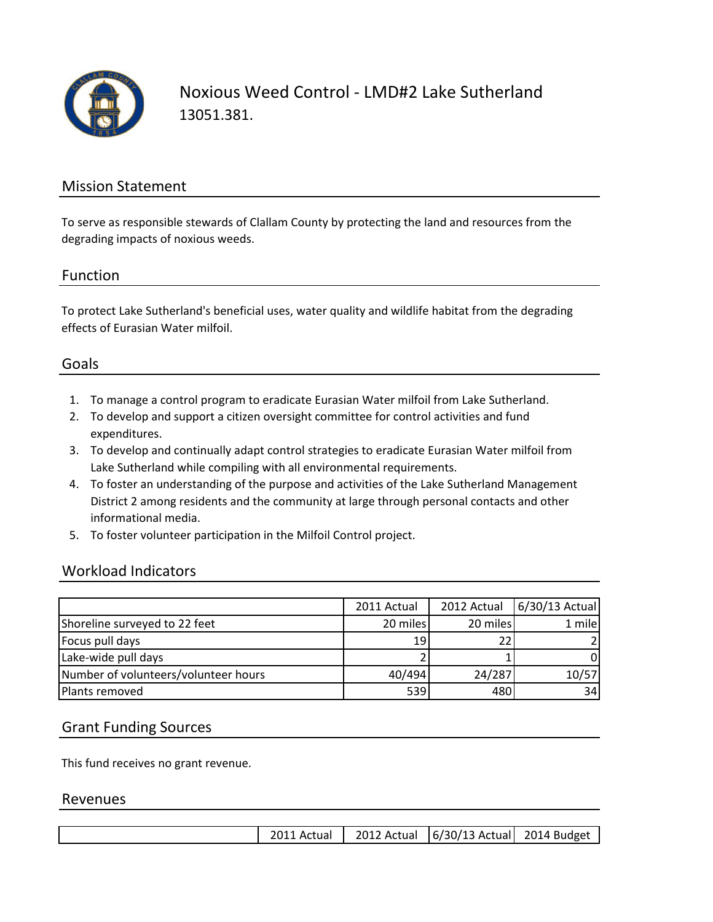

Noxious Weed Control - LMD#2 Lake Sutherland 13051.381.

## Mission Statement

To serve as responsible stewards of Clallam County by protecting the land and resources from the degrading impacts of noxious weeds.

#### Function

To protect Lake Sutherland's beneficial uses, water quality and wildlife habitat from the degrading effects of Eurasian Water milfoil.

## Goals

- 1. To manage a control program to eradicate Eurasian Water milfoil from Lake Sutherland.
- 2. To develop and support a citizen oversight committee for control activities and fund expenditures.
- 3. To develop and continually adapt control strategies to eradicate Eurasian Water milfoil from Lake Sutherland while compiling with all environmental requirements.
- 4. To foster an understanding of the purpose and activities of the Lake Sutherland Management District 2 among residents and the community at large through personal contacts and other informational media.
- 5. To foster volunteer participation in the Milfoil Control project.

### Workload Indicators

|                                      | 2011 Actual     | 2012 Actual | $6/30/13$ Actual |
|--------------------------------------|-----------------|-------------|------------------|
| Shoreline surveyed to 22 feet        | 20 miles        | 20 miles    | 1 mile           |
| Focus pull days                      | 19 <sup>1</sup> |             |                  |
| Lake-wide pull days                  |                 |             |                  |
| Number of volunteers/volunteer hours | 40/494          | 24/287      | 10/57            |
| Plants removed                       | 539             | 480         | 34               |

### Grant Funding Sources

This fund receives no grant revenue.

#### Revenues

|  |  | 2011 Actual |  | 2012 Actual   6/30/13 Actual 2014 Budget |  |
|--|--|-------------|--|------------------------------------------|--|
|--|--|-------------|--|------------------------------------------|--|